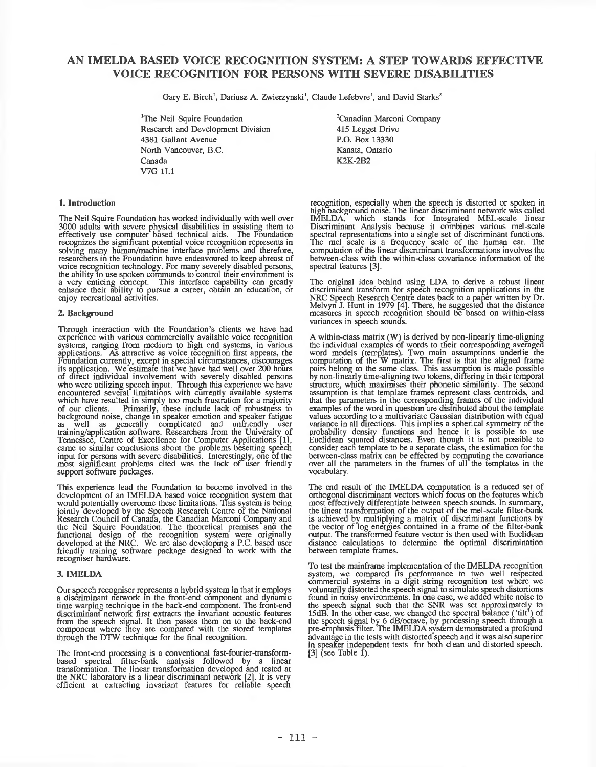# **AN IMELDA BASED VOICE RECOGNITION SYSTEM: A STEP TOWARDS EFFECTIVE VOICE RECOGNITION FOR PERSONS WITH SEVERE DISABILITIES**

Gary E. Birch<sup>1</sup>, Dariusz A. Zwierzynski<sup>1</sup>, Claude Lefebvre<sup>1</sup>, and David Starks<sup>2</sup>

'The Neil Squire Foundation Research and Development Division 4381 Gallant Avenue North Vancouver, B.C. Canada V7G 1L1

# **1. Introduction**

The Neil Squire Foundation has worked individually with well over 3000 adults with severe physical disabilities in assisting them to effectively use computer based technical aids. The Foundation recognizes the significant potential voice recognition represents in solving many human/machine interface problems and therefore, researchers in the Foundation have endeavoured to keep abreast of researchers in the Foundation have endeavoured to keep abreast of voice recognition technology. For many severely disabled persons, the ability to use spoken commands to control tneir environment is a very enticing concept. This interface capability can greatly enhance their ability to pursue a career, obtain an education, or enjoy recreational activities.

# **2. Background**

Through interaction with the Foundation's clients we have had experience with various commercially available voice recognition systems, ranging from medium to high end systems, in various applications. As attractive as voice recognition first appears, the Foundation currently, except in special circumstances, discourages its application. We estimate that we have had well over 200 hours of direct individual involvement with severely disabled persons who were utilizing speech input. Through this experience we have encountered several limitations with currently available systems which have resulted in simply too much frustration for a majority of our clients. Primarily, these include lack of robustness to background noise, change in speaker emotion and speaker fatigue as well as generally complicated and unfriendly user training/application software. Researchers from the University of Tennessee, Centre of Excellence for Computer Applications [11, came to similar conclusions about the problems besetting speech input for persons with severe disabilities. Interestingly, one of the most significant problems cited was the lack of user friendly support software packages.

This experience lead the Foundation to become involved in the development of an IM ELDA based voice recognition system that would potentially overcome these limitations. This system is being jointly developed by the Speech Research Centre of the National Research Council of Canada, the Canadian Marconi Company and the Neil Squire Foundation. The theoretical premises ana the functional design of the recognition system were originally developed at the NRC. We are also developing a P.C. based user friendly training software package designed to work with the recogniser hardware.

# **3. IMELDA**

Our speech recogniser represents a hybrid system in that it employs a discriminant network in the front-end component and dynamic time warping technique in the back-end component. The front-end discriminant network first extracts the invariant acoustic features from the speech signal. It then passes them on to the back-end component where they are compared with the stored templates through the DTW technique for the final recognition.

The front-end processing is a conventional fast-fourier-transformbased spectral filter-bank analysis followed by a linear transformation. The linear transformation developed and tested at the NRC laboratory is a linear discriminant network [21. It is very efficient at extracting invariant features for reliable speech

<sup>2</sup>Canadian Marconi Company 415 Legget Drive P.O. Box 13330 Kanata, Ontario K2K-2B2

recognition, especially when the speech is distorted or spoken in high oackground noise. The linear discriminant network was called IMELDA, which stands for Integrated MEL-scale linear Discriminant Analysis because it combines various mel-scale spectral representations into a single set of discriminant functions. The mel scale is a frequency scale of the human ear. The computation of the linear discriminant transformations involves the between-class with the within-class covariance information of the spectral features [3].

The original idea behind using LDA to derive a robust linear discriminant transform for speech recognition applications in the NRC Speech Research Centre dates back to a paper written by Dr. Melvyn J. Hunt in 1979 [4]. There, he suggested that the distance measures in speech recognition should be based on within-class variances in speech sounds.

A within-class matrix (W) is derived by non-linearly time-aligning the individual examples of words to their corresponding averaged word models (templates). Two main assumptions underlie the computation of the W matrix. The first is that the aligned frame pairs belong to the same class. This assumption is made possible by non-linearly time-aligning two tokens, differing in their temporal structure, which maximises their phonetic similarity. The second assumption is that template frames represent class centroids, and that the parameters in the corresponding frames of the individual examples of the word in question are distributed about the template values according to a multivariate Gaussian distribution with equal variance in all directions. This implies a spherical symmetry of the probability density functions and hence it is possible to use Euclidean squared distances. Even though it is not possible to consider each template to be a separate class, the estimation for the between-class matrix can be effected by computing the covariance over all the parameters in the frames of all the templates in the vocabulary.

The end result of the IMELDA computation is a reduced set of orthogonal discriminant vectors which focus on the features which most effectively differentiate between speech sounds. In summary, the linear transformation of the output of the mel-scale filter-bank is achieved by multiplying a matrix of discriminant functions by the vector of log energies contained in a frame of the filter-bank output. The transformed feature vector is then used with Euclidean distance calculations to determine the optimal discrimination between template frames.

To test the mainframe implementation of the IMELDA recognition system, we compared its performance to two well respected commercial systems in a digit string recognition test where we voluntarily distorted the speech signal to simulate speech distortions found in noisy environments. In one case, we added white noise to the speech signal such that the SNR was set approximately to 15dB. In the other case, we changed the spectral balance ( 'tilt') of the speech signal by 6 dB/octave, by processing speech through a pre-emphasis filter. The IMELDA system demonstrated a profound advantage in the tests with distorted speech and it was also superior in speaker independent tests for botn clean and distorted speech. [3] (see Table 1).